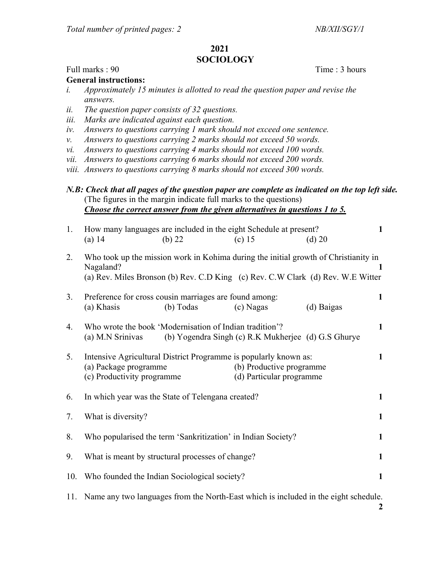## 2021 SOCIOLOGY

## Full marks : 90 Time : 3 hours

General instructions:

- i. Approximately 15 minutes is allotted to read the question paper and revise the answers.
- ii. The question paper consists of 32 questions.
- iii. Marks are indicated against each question.
- iv. Answers to questions carrying 1 mark should not exceed one sentence.
- v. Answers to questions carrying 2 marks should not exceed 50 words.
- vi. Answers to questions carrying 4 marks should not exceed 100 words.
- vii. Answers to questions carrying 6 marks should not exceed 200 words.
- viii. Answers to questions carrying 8 marks should not exceed 300 words.

N.B: Check that all pages of the question paper are complete as indicated on the top left side. (The figures in the margin indicate full marks to the questions) Choose the correct answer from the given alternatives in questions 1 to 5.

| 1.  | How many languages are included in the eight Schedule at present?<br>$(a)$ 14                                                                                                            | $(b)$ 22  | (c) $15$  | (d) 20     | $\mathbf{1}$ |
|-----|------------------------------------------------------------------------------------------------------------------------------------------------------------------------------------------|-----------|-----------|------------|--------------|
| 2.  | Who took up the mission work in Kohima during the initial growth of Christianity in<br>Nagaland?<br>1<br>(a) Rev. Miles Bronson (b) Rev. C.D King (c) Rev. C.W Clark (d) Rev. W.E Witter |           |           |            |              |
| 3.  | Preference for cross cousin marriages are found among:<br>(a) Khasis                                                                                                                     | (b) Todas | (c) Nagas | (d) Baigas | $\mathbf{1}$ |
| 4.  | Who wrote the book 'Modernisation of Indian tradition'?<br>(b) Yogendra Singh (c) R.K Mukherjee (d) G.S Ghurye<br>(a) M.N Srinivas                                                       |           |           |            |              |
| 5.  | Intensive Agricultural District Programme is popularly known as:<br>(a) Package programme<br>(b) Productive programme<br>(d) Particular programme<br>(c) Productivity programme          |           |           |            | $\mathbf{1}$ |
| 6.  | In which year was the State of Telengana created?                                                                                                                                        |           |           |            |              |
| 7.  | What is diversity?                                                                                                                                                                       |           |           |            | $\mathbf{1}$ |
| 8.  | Who popularised the term 'Sankritization' in Indian Society?                                                                                                                             |           |           |            | $\mathbf{1}$ |
| 9.  | What is meant by structural processes of change?                                                                                                                                         |           |           |            | $\mathbf{1}$ |
| 10. | Who founded the Indian Sociological society?                                                                                                                                             |           |           |            |              |
|     | 11. Name any two languages from the North-East which is included in the eight schedule.                                                                                                  |           |           |            |              |

2